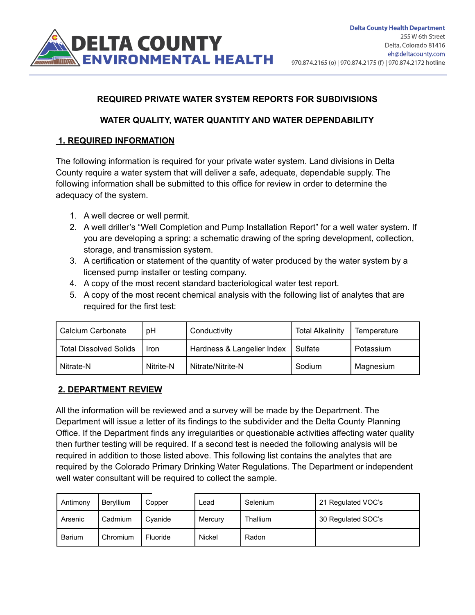

## **REQUIRED PRIVATE WATER SYSTEM REPORTS FOR SUBDIVISIONS**

#### **WATER QUALITY, WATER QUANTITY AND WATER DEPENDABILITY**

#### **1. REQUIRED INFORMATION**

The following information is required for your private water system. Land divisions in Delta County require a water system that will deliver a safe, adequate, dependable supply. The following information shall be submitted to this office for review in order to determine the adequacy of the system.

- 1. A well decree or well permit.
- 2. A well driller's "Well Completion and Pump Installation Report" for a well water system. If you are developing a spring: a schematic drawing of the spring development, collection, storage, and transmission system.
- 3. A certification or statement of the quantity of water produced by the water system by a licensed pump installer or testing company.
- 4. A copy of the most recent standard bacteriological water test report.
- 5. A copy of the most recent chemical analysis with the following list of analytes that are required for the first test:

| Calcium Carbonate             | рH        | Conductivity               | <b>Total Alkalinity</b> | Temperature |
|-------------------------------|-----------|----------------------------|-------------------------|-------------|
| <b>Total Dissolved Solids</b> | Iron      | Hardness & Langelier Index | <sup>'</sup> Sulfate    | Potassium   |
| Nitrate-N                     | Nitrite-N | Nitrate/Nitrite-N          | Sodium                  | Magnesium   |

#### **2. DEPARTMENT REVIEW**

All the information will be reviewed and a survey will be made by the Department. The Department will issue a letter of its findings to the subdivider and the Delta County Planning Office. If the Department finds any irregularities or questionable activities affecting water quality then further testing will be required. If a second test is needed the following analysis will be required in addition to those listed above. This following list contains the analytes that are required by the Colorado Primary Drinking Water Regulations. The Department or independent well water consultant will be required to collect the sample.

| Antimony | Beryllium | Copper   | Lead    | <b>Selenium</b> | 21 Regulated VOC's |
|----------|-----------|----------|---------|-----------------|--------------------|
| Arsenic  | Cadmium   | Cvanide  | Mercury | Thallium        | 30 Regulated SOC's |
| Barium   | Chromium  | Fluoride | Nickel  | Radon           |                    |